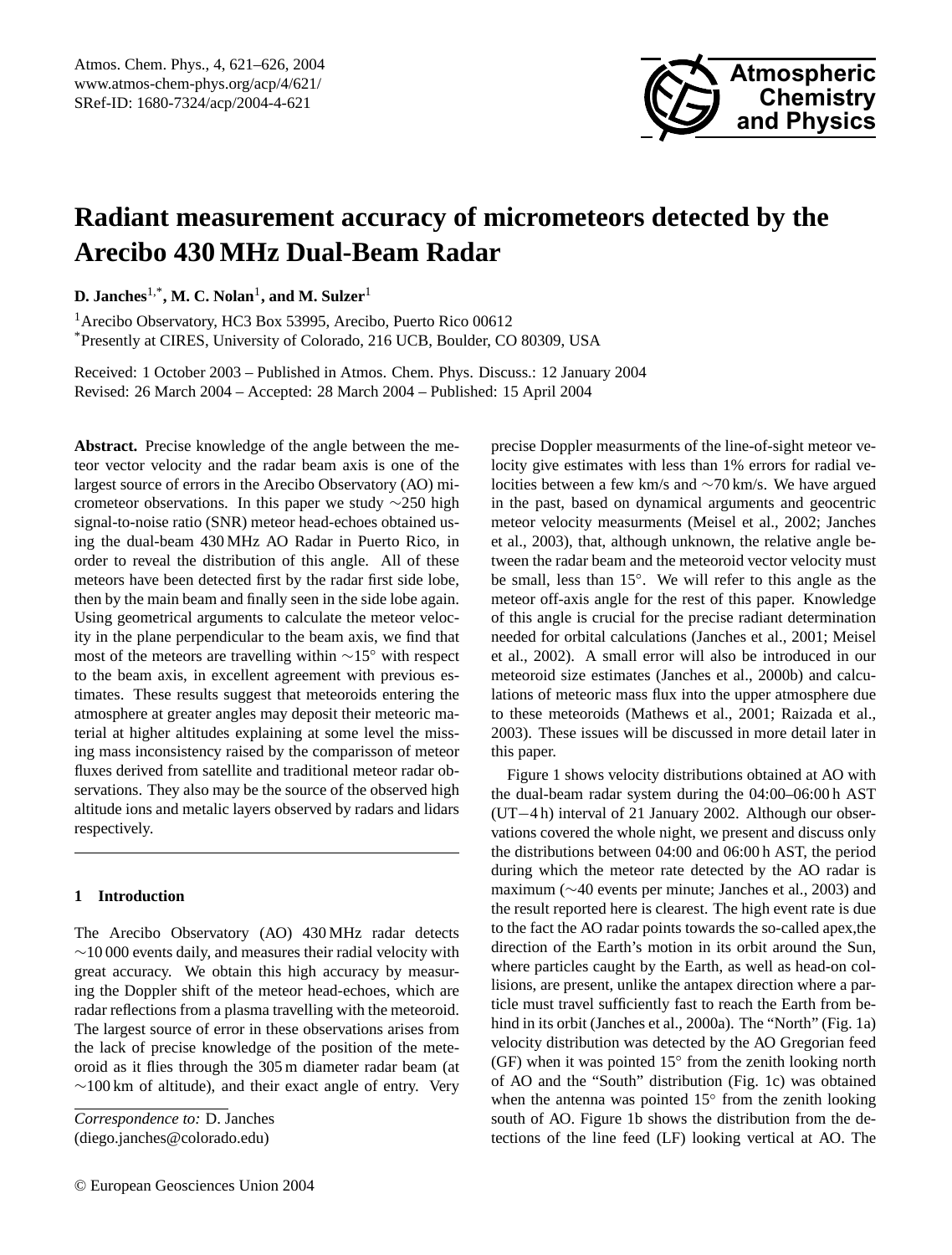

# **Radiant measurement accuracy of micrometeors detected by the Arecibo 430 MHz Dual-Beam Radar**

**D. Janches**1,\***, M. C. Nolan**<sup>1</sup> **, and M. Sulzer**<sup>1</sup>

<sup>1</sup>Arecibo Observatory, HC3 Box 53995, Arecibo, Puerto Rico 00612 \*Presently at CIRES, University of Colorado, 216 UCB, Boulder, CO 80309, USA

Received: 1 October 2003 – Published in Atmos. Chem. Phys. Discuss.: 12 January 2004 Revised: 26 March 2004 – Accepted: 28 March 2004 – Published: 15 April 2004

**Abstract.** Precise knowledge of the angle between the meteor vector velocity and the radar beam axis is one of the largest source of errors in the Arecibo Observatory (AO) micrometeor observations. In this paper we study ∼250 high signal-to-noise ratio (SNR) meteor head-echoes obtained using the dual-beam 430 MHz AO Radar in Puerto Rico, in order to reveal the distribution of this angle. All of these meteors have been detected first by the radar first side lobe, then by the main beam and finally seen in the side lobe again. Using geometrical arguments to calculate the meteor velocity in the plane perpendicular to the beam axis, we find that most of the meteors are travelling within ∼15◦ with respect to the beam axis, in excellent agreement with previous estimates. These results suggest that meteoroids entering the atmosphere at greater angles may deposit their meteoric material at higher altitudes explaining at some level the missing mass inconsistency raised by the comparisson of meteor fluxes derived from satellite and traditional meteor radar observations. They also may be the source of the observed high altitude ions and metalic layers observed by radars and lidars respectively.

# **1 Introduction**

The Arecibo Observatory (AO) 430 MHz radar detects  $~\sim$ 10 000 events daily, and measures their radial velocity with great accuracy. We obtain this high accuracy by measuring the Doppler shift of the meteor head-echoes, which are radar reflections from a plasma travelling with the meteoroid. The largest source of error in these observations arises from the lack of precise knowledge of the position of the meteoroid as it flies through the 305 m diameter radar beam (at  $\sim$ 100 km of altitude), and their exact angle of entry. Very precise Doppler measurments of the line-of-sight meteor velocity give estimates with less than 1% errors for radial velocities between a few km/s and ∼70 km/s. We have argued in the past, based on dynamical arguments and geocentric meteor velocity measurments (Meisel et al., 2002; Janches et al., 2003), that, although unknown, the relative angle between the radar beam and the meteoroid vector velocity must be small, less than 15◦ . We will refer to this angle as the meteor off-axis angle for the rest of this paper. Knowledge of this angle is crucial for the precise radiant determination needed for orbital calculations (Janches et al., 2001; Meisel et al., 2002). A small error will also be introduced in our meteoroid size estimates (Janches et al., 2000b) and calculations of meteoric mass flux into the upper atmosphere due to these meteoroids (Mathews et al., 2001; Raizada et al., 2003). These issues will be discussed in more detail later in this paper.

Figure 1 shows velocity distributions obtained at AO with the dual-beam radar system during the 04:00–06:00 h AST (UT−4 h) interval of 21 January 2002. Although our observations covered the whole night, we present and discuss only the distributions between 04:00 and 06:00 h AST, the period during which the meteor rate detected by the AO radar is maximum (∼40 events per minute; Janches et al., 2003) and the result reported here is clearest. The high event rate is due to the fact the AO radar points towards the so-called apex,the direction of the Earth's motion in its orbit around the Sun, where particles caught by the Earth, as well as head-on collisions, are present, unlike the antapex direction where a particle must travel sufficiently fast to reach the Earth from behind in its orbit (Janches et al., 2000a). The "North" (Fig. 1a) velocity distribution was detected by the AO Gregorian feed (GF) when it was pointed 15◦ from the zenith looking north of AO and the "South" distribution (Fig. 1c) was obtained when the antenna was pointed 15° from the zenith looking south of AO. Figure 1b shows the distribution from the detections of the line feed (LF) looking vertical at AO. The

*Correspondence to:* D. Janches (diego.janches@colorado.edu)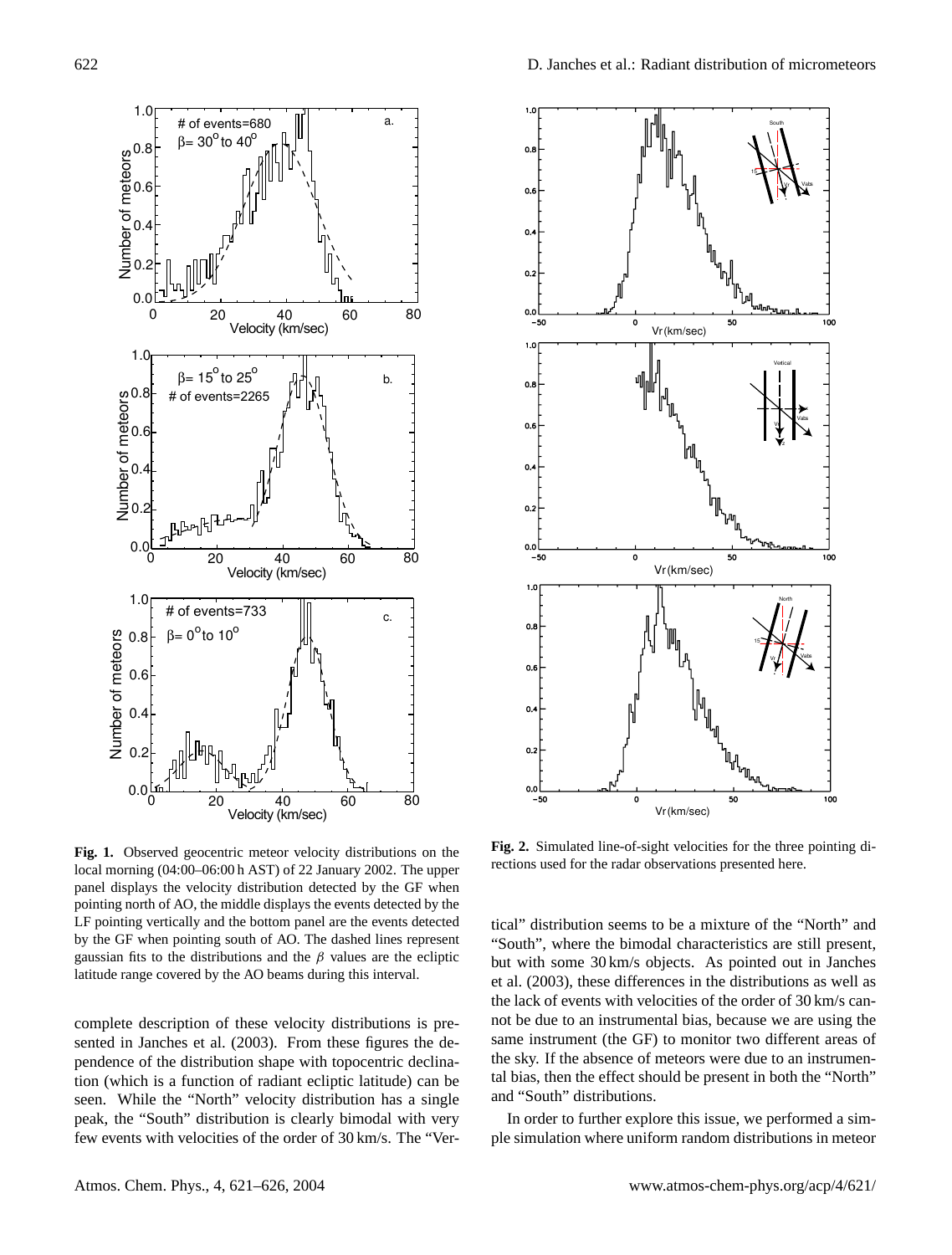

**Fig. 1.** Observed geocentric meteor velocity distributions on the local morning (04:00–06:00 h AST) of 22 January 2002. The upper panel displays the velocity distribution detected by the GF when pointing north of AO, the middle displays the events detected by the LF pointing vertically and the bottom panel are the events detected by the GF when pointing south of AO. The dashed lines represent gaussian fits to the distributions and the  $\beta$  values are the ecliptic latitude range covered by the AO beams during this interval.

complete description of these velocity distributions is presented in Janches et al. (2003). From these figures the dependence of the distribution shape with topocentric declination (which is a function of radiant ecliptic latitude) can be seen. While the "North" velocity distribution has a single peak, the "South" distribution is clearly bimodal with very few events with velocities of the order of 30 km/s. The "Ver-



**Fig. 2.** Simulated line-of-sight velocities for the three pointing directions used for the radar observations presented here.

tical" distribution seems to be a mixture of the "North" and "South", where the bimodal characteristics are still present, but with some 30 km/s objects. As pointed out in Janches et al. (2003), these differences in the distributions as well as the lack of events with velocities of the order of 30 km/s cannot be due to an instrumental bias, because we are using the same instrument (the GF) to monitor two different areas of the sky. If the absence of meteors were due to an instrumental bias, then the effect should be present in both the "North" and "South" distributions.

In order to further explore this issue, we performed a simple simulation where uniform random distributions in meteor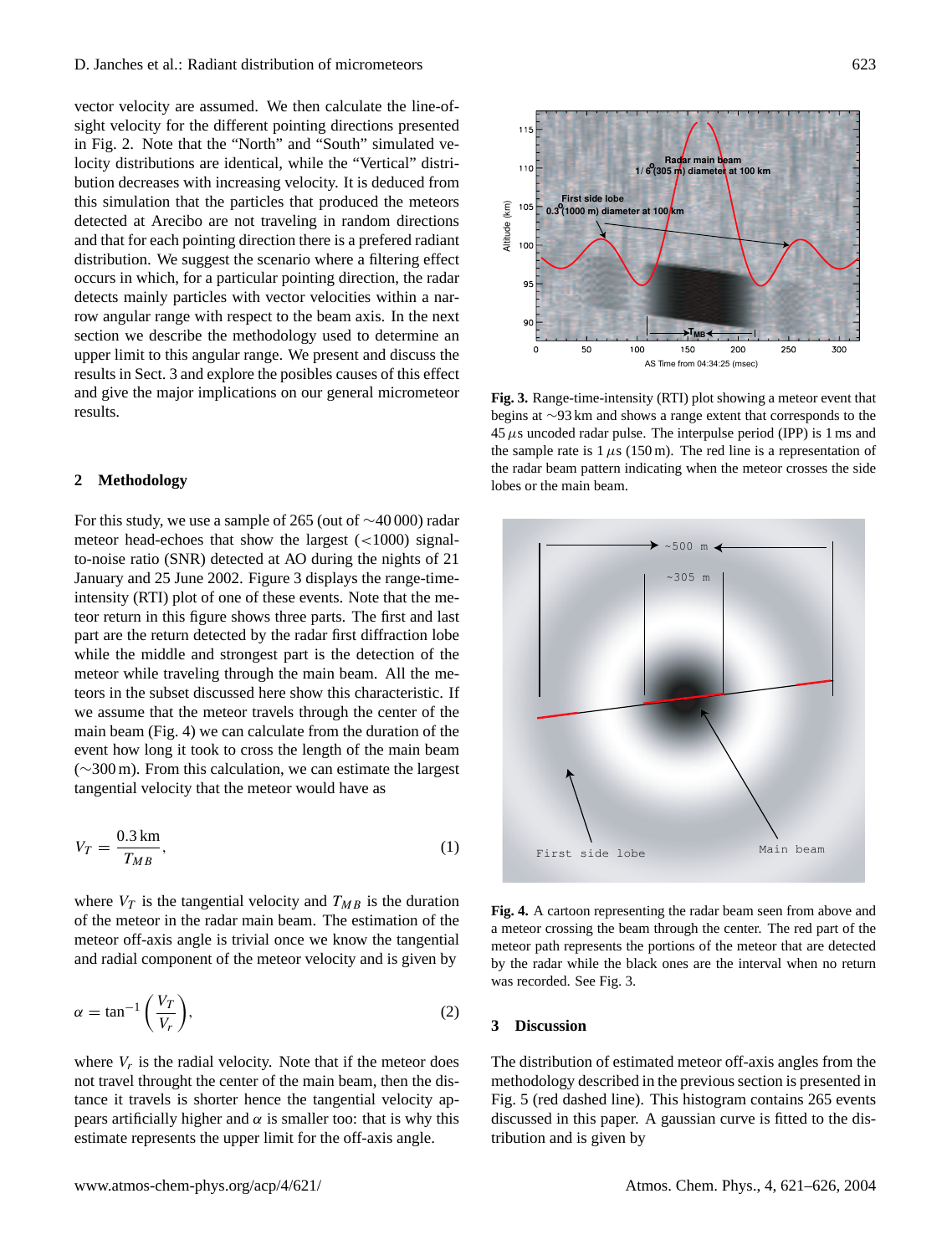vector velocity are assumed. We then calculate the line-ofsight velocity for the different pointing directions presented in Fig. 2. Note that the "North" and "South" simulated velocity distributions are identical, while the "Vertical" distribution decreases with increasing velocity. It is deduced from this simulation that the particles that produced the meteors detected at Arecibo are not traveling in random directions and that for each pointing direction there is a prefered radiant distribution. We suggest the scenario where a filtering effect occurs in which, for a particular pointing direction, the radar detects mainly particles with vector velocities within a narrow angular range with respect to the beam axis. In the next section we describe the methodology used to determine an upper limit to this angular range. We present and discuss the results in Sect. 3 and explore the posibles causes of this effect and give the major implications on our general micrometeor results.

#### **2 Methodology**

For this study, we use a sample of 265 (out of ∼40 000) radar meteor head-echoes that show the largest (<1000) signalto-noise ratio (SNR) detected at AO during the nights of 21 January and 25 June 2002. Figure 3 displays the range-timeintensity (RTI) plot of one of these events. Note that the meteor return in this figure shows three parts. The first and last part are the return detected by the radar first diffraction lobe while the middle and strongest part is the detection of the meteor while traveling through the main beam. All the meteors in the subset discussed here show this characteristic. If we assume that the meteor travels through the center of the main beam (Fig. 4) we can calculate from the duration of the event how long it took to cross the length of the main beam (∼300 m). From this calculation, we can estimate the largest tangential velocity that the meteor would have as

$$
V_T = \frac{0.3 \text{ km}}{T_{MB}},\tag{1}
$$

where  $V_T$  is the tangential velocity and  $T_{MB}$  is the duration of the meteor in the radar main beam. The estimation of the meteor off-axis angle is trivial once we know the tangential and radial component of the meteor velocity and is given by

$$
\alpha = \tan^{-1}\left(\frac{V_T}{V_r}\right),\tag{2}
$$

where  $V_r$  is the radial velocity. Note that if the meteor does not travel throught the center of the main beam, then the distance it travels is shorter hence the tangential velocity appears artificially higher and  $\alpha$  is smaller too: that is why this estimate represents the upper limit for the off-axis angle.



**Fig. 3.** Range-time-intensity (RTI) plot showing a meteor event that begins at ∼93 km and shows a range extent that corresponds to the  $45 \mu s$  uncoded radar pulse. The interpulse period (IPP) is 1 ms and the sample rate is  $1 \mu s$  (150 m). The red line is a representation of the radar beam pattern indicating when the meteor crosses the side lobes or the main beam.



**Fig. 4.** A cartoon representing the radar beam seen from above and a meteor crossing the beam through the center. The red part of the meteor path represents the portions of the meteor that are detected by the radar while the black ones are the interval when no return was recorded. See Fig. 3.

#### **3 Discussion**

The distribution of estimated meteor off-axis angles from the methodology described in the previous section is presented in Fig. 5 (red dashed line). This histogram contains 265 events discussed in this paper. A gaussian curve is fitted to the distribution and is given by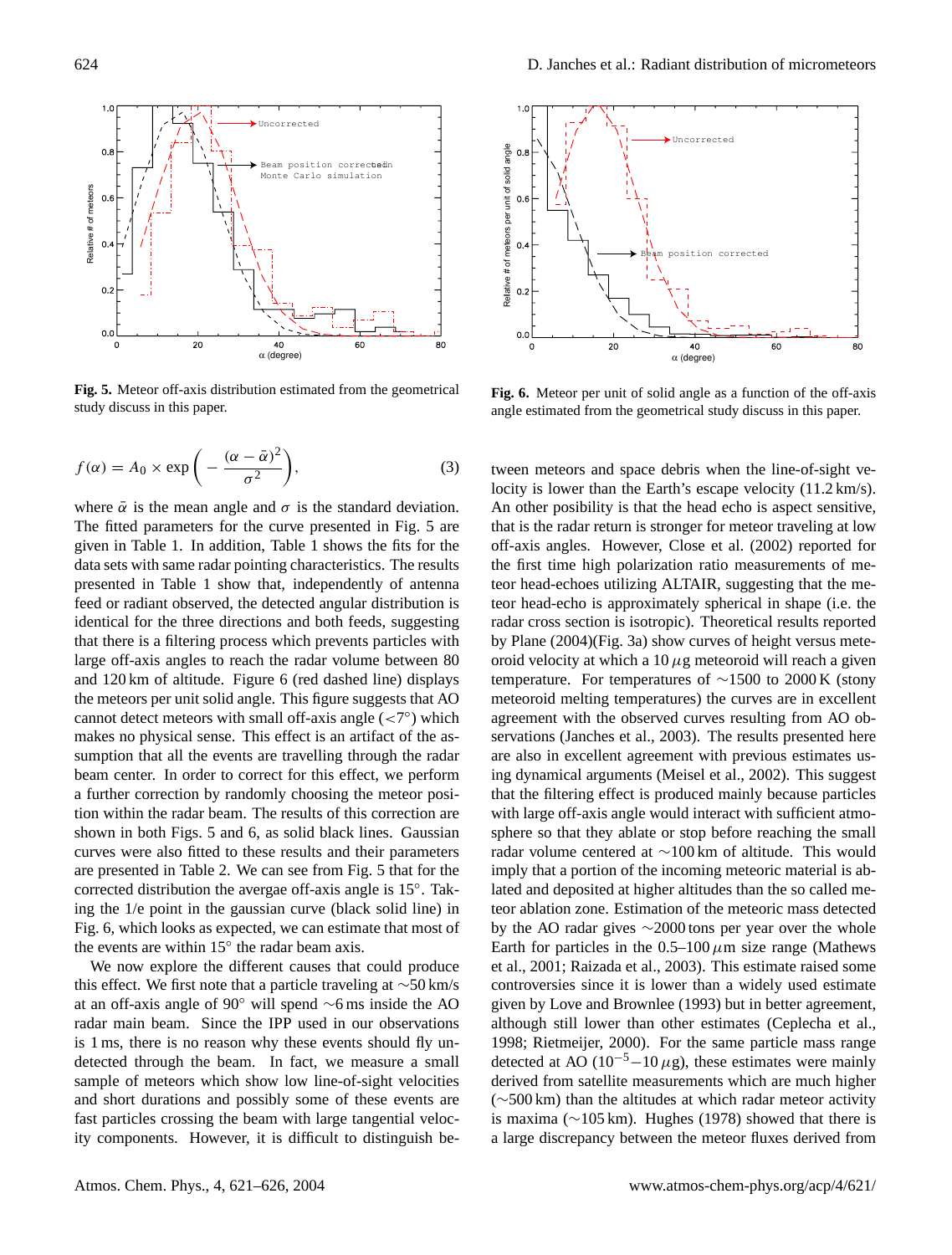

**Fig. 5.** Meteor off-axis distribution estimated from the geometrical study discuss in this paper.

$$
f(\alpha) = A_0 \times \exp\bigg(-\frac{(\alpha - \bar{\alpha})^2}{\sigma^2}\bigg),\tag{3}
$$

where  $\bar{\alpha}$  is the mean angle and  $\sigma$  is the standard deviation. The fitted parameters for the curve presented in Fig. 5 are given in Table 1. In addition, Table 1 shows the fits for the data sets with same radar pointing characteristics. The results presented in Table 1 show that, independently of antenna feed or radiant observed, the detected angular distribution is identical for the three directions and both feeds, suggesting that there is a filtering process which prevents particles with large off-axis angles to reach the radar volume between 80 and 120 km of altitude. Figure 6 (red dashed line) displays the meteors per unit solid angle. This figure suggests that AO cannot detect meteors with small off-axis angle  $(*7*°)$  which makes no physical sense. This effect is an artifact of the assumption that all the events are travelling through the radar beam center. In order to correct for this effect, we perform a further correction by randomly choosing the meteor position within the radar beam. The results of this correction are shown in both Figs. 5 and 6, as solid black lines. Gaussian curves were also fitted to these results and their parameters are presented in Table 2. We can see from Fig. 5 that for the corrected distribution the avergae off-axis angle is 15◦ . Taking the 1/e point in the gaussian curve (black solid line) in Fig. 6, which looks as expected, we can estimate that most of the events are within  $15^{\circ}$  the radar beam axis.

We now explore the different causes that could produce this effect. We first note that a particle traveling at ∼50 km/s at an off-axis angle of 90◦ will spend ∼6 ms inside the AO radar main beam. Since the IPP used in our observations is 1 ms, there is no reason why these events should fly undetected through the beam. In fact, we measure a small sample of meteors which show low line-of-sight velocities and short durations and possibly some of these events are fast particles crossing the beam with large tangential velocity components. However, it is difficult to distinguish be-



**Fig. 6.** Meteor per unit of solid angle as a function of the off-axis angle estimated from the geometrical study discuss in this paper.

tween meteors and space debris when the line-of-sight velocity is lower than the Earth's escape velocity (11.2 km/s). An other posibility is that the head echo is aspect sensitive, that is the radar return is stronger for meteor traveling at low off-axis angles. However, Close et al. (2002) reported for the first time high polarization ratio measurements of meteor head-echoes utilizing ALTAIR, suggesting that the meteor head-echo is approximately spherical in shape (i.e. the radar cross section is isotropic). Theoretical results reported by Plane (2004)(Fig. 3a) show curves of height versus meteoroid velocity at which a  $10 \mu$ g meteoroid will reach a given temperature. For temperatures of  $\sim$ 1500 to 2000 K (stony meteoroid melting temperatures) the curves are in excellent agreement with the observed curves resulting from AO observations (Janches et al., 2003). The results presented here are also in excellent agreement with previous estimates using dynamical arguments (Meisel et al., 2002). This suggest that the filtering effect is produced mainly because particles with large off-axis angle would interact with sufficient atmosphere so that they ablate or stop before reaching the small radar volume centered at ∼100 km of altitude. This would imply that a portion of the incoming meteoric material is ablated and deposited at higher altitudes than the so called meteor ablation zone. Estimation of the meteoric mass detected by the AO radar gives ∼2000 tons per year over the whole Earth for particles in the  $0.5-100 \mu m$  size range (Mathews et al., 2001; Raizada et al., 2003). This estimate raised some controversies since it is lower than a widely used estimate given by Love and Brownlee (1993) but in better agreement, although still lower than other estimates (Ceplecha et al., 1998; Rietmeijer, 2000). For the same particle mass range detected at AO ( $10^{-5}$ – $10 \mu$ g), these estimates were mainly derived from satellite measurements which are much higher (∼500 km) than the altitudes at which radar meteor activity is maxima (∼105 km). Hughes (1978) showed that there is a large discrepancy between the meteor fluxes derived from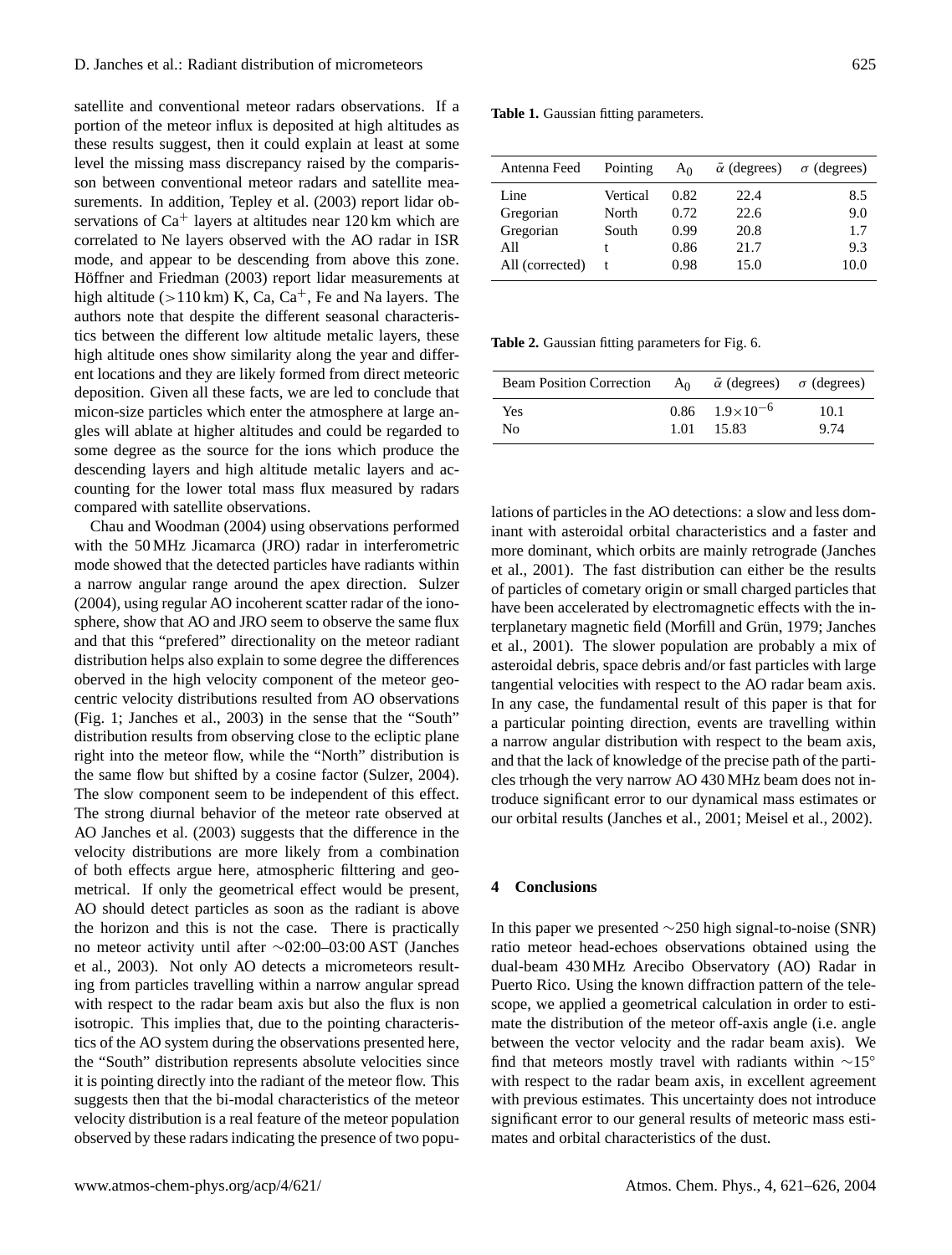satellite and conventional meteor radars observations. If a portion of the meteor influx is deposited at high altitudes as these results suggest, then it could explain at least at some level the missing mass discrepancy raised by the comparisson between conventional meteor radars and satellite measurements. In addition, Tepley et al. (2003) report lidar observations of  $Ca^+$  layers at altitudes near 120 km which are correlated to Ne layers observed with the AO radar in ISR mode, and appear to be descending from above this zone. Höffner and Friedman (2003) report lidar measurements at high altitude ( $>110 \text{ km}$ ) K, Ca, Ca<sup>+</sup>, Fe and Na layers. The authors note that despite the different seasonal characteristics between the different low altitude metalic layers, these high altitude ones show similarity along the year and different locations and they are likely formed from direct meteoric deposition. Given all these facts, we are led to conclude that micon-size particles which enter the atmosphere at large angles will ablate at higher altitudes and could be regarded to some degree as the source for the ions which produce the descending layers and high altitude metalic layers and accounting for the lower total mass flux measured by radars compared with satellite observations.

Chau and Woodman (2004) using observations performed with the 50 MHz Jicamarca (JRO) radar in interferometric mode showed that the detected particles have radiants within a narrow angular range around the apex direction. Sulzer (2004), using regular AO incoherent scatter radar of the ionosphere, show that AO and JRO seem to observe the same flux and that this "prefered" directionality on the meteor radiant distribution helps also explain to some degree the differences oberved in the high velocity component of the meteor geocentric velocity distributions resulted from AO observations (Fig. 1; Janches et al., 2003) in the sense that the "South" distribution results from observing close to the ecliptic plane right into the meteor flow, while the "North" distribution is the same flow but shifted by a cosine factor (Sulzer, 2004). The slow component seem to be independent of this effect. The strong diurnal behavior of the meteor rate observed at AO Janches et al. (2003) suggests that the difference in the velocity distributions are more likely from a combination of both effects argue here, atmospheric filttering and geometrical. If only the geometrical effect would be present, AO should detect particles as soon as the radiant is above the horizon and this is not the case. There is practically no meteor activity until after ∼02:00–03:00 AST (Janches et al., 2003). Not only AO detects a micrometeors resulting from particles travelling within a narrow angular spread with respect to the radar beam axis but also the flux is non isotropic. This implies that, due to the pointing characteristics of the AO system during the observations presented here, the "South" distribution represents absolute velocities since it is pointing directly into the radiant of the meteor flow. This suggests then that the bi-modal characteristics of the meteor velocity distribution is a real feature of the meteor population observed by these radars indicating the presence of two popu-

|  | Table 1. Gaussian fitting parameters. |
|--|---------------------------------------|
|  |                                       |

| Antenna Feed    | Pointing | Aο   | $\bar{\alpha}$ (degrees) | $\sigma$ (degrees) |
|-----------------|----------|------|--------------------------|--------------------|
| Line            | Vertical | 0.82 | 22.4                     | 8.5                |
| Gregorian       | North    | 0.72 | 22.6                     | 9.0                |
| Gregorian       | South    | 0.99 | 20.8                     | 1.7                |
| All             |          | 0.86 | 21.7                     | 9.3                |
| All (corrected) | t        | 0.98 | 15.0                     | 10.0               |
|                 |          |      |                          |                    |

**Table 2.** Gaussian fitting parameters for Fig. 6.

| <b>Beam Position Correction</b> | A <sub>0</sub> | $\bar{\alpha}$ (degrees) $\sigma$ (degrees) |      |
|---------------------------------|----------------|---------------------------------------------|------|
| <b>Yes</b>                      |                | $0.86$ $1.9 \times 10^{-6}$                 | 10.1 |
| N <sub>0</sub>                  |                | 1.01 15.83                                  | 9.74 |

lations of particles in the AO detections: a slow and less dominant with asteroidal orbital characteristics and a faster and more dominant, which orbits are mainly retrograde (Janches et al., 2001). The fast distribution can either be the results of particles of cometary origin or small charged particles that have been accelerated by electromagnetic effects with the interplanetary magnetic field (Morfill and Grün, 1979; Janches et al., 2001). The slower population are probably a mix of asteroidal debris, space debris and/or fast particles with large tangential velocities with respect to the AO radar beam axis. In any case, the fundamental result of this paper is that for a particular pointing direction, events are travelling within a narrow angular distribution with respect to the beam axis, and that the lack of knowledge of the precise path of the particles trhough the very narrow AO 430 MHz beam does not introduce significant error to our dynamical mass estimates or our orbital results (Janches et al., 2001; Meisel et al., 2002).

## **4 Conclusions**

In this paper we presented ∼250 high signal-to-noise (SNR) ratio meteor head-echoes observations obtained using the dual-beam 430 MHz Arecibo Observatory (AO) Radar in Puerto Rico. Using the known diffraction pattern of the telescope, we applied a geometrical calculation in order to estimate the distribution of the meteor off-axis angle (i.e. angle between the vector velocity and the radar beam axis). We find that meteors mostly travel with radiants within ∼15◦ with respect to the radar beam axis, in excellent agreement with previous estimates. This uncertainty does not introduce significant error to our general results of meteoric mass estimates and orbital characteristics of the dust.